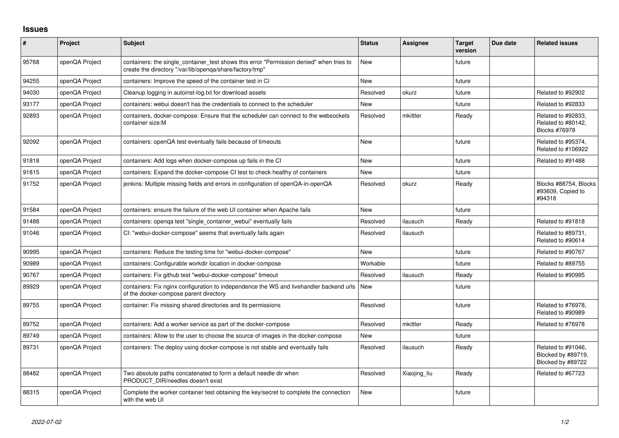## **Issues**

| $\sharp$ | Project        | Subject                                                                                                                                              | <b>Status</b> | Assignee     | <b>Target</b><br>version | Due date | <b>Related issues</b>                                            |
|----------|----------------|------------------------------------------------------------------------------------------------------------------------------------------------------|---------------|--------------|--------------------------|----------|------------------------------------------------------------------|
| 95768    | openQA Project | containers: the single container test shows this error "Permission denied" when tries to<br>create the directory "/var/lib/openga/share/factory/tmp" | <b>New</b>    |              | future                   |          |                                                                  |
| 94255    | openQA Project | containers: Improve the speed of the container test in CI                                                                                            | <b>New</b>    |              | future                   |          |                                                                  |
| 94030    | openQA Project | Cleanup logging in autoinst-log.txt for download assets                                                                                              | Resolved      | okurz        | future                   |          | Related to #92902                                                |
| 93177    | openQA Project | containers: webui doesn't has the credentials to connect to the scheduler                                                                            | New           |              | future                   |          | Related to #92833                                                |
| 92893    | openQA Project | containers, docker-compose: Ensure that the scheduler can connect to the websockets<br>container size:M                                              | Resolved      | mkittler     | Ready                    |          | Related to #92833,<br>Related to #80142,<br><b>Blocks #76978</b> |
| 92092    | openQA Project | containers: openQA test eventually fails because of timeouts                                                                                         | <b>New</b>    |              | future                   |          | Related to #95374,<br>Related to #106922                         |
| 91818    | openQA Project | containers: Add logs when docker-compose up fails in the CI                                                                                          | <b>New</b>    |              | future                   |          | Related to #91488                                                |
| 91815    | openQA Project | containers: Expand the docker-compose CI test to check healthy of containers                                                                         | <b>New</b>    |              | future                   |          |                                                                  |
| 91752    | openQA Project | jenkins: Multiple missing fields and errors in configuration of openQA-in-openQA                                                                     | Resolved      | okurz        | Ready                    |          | Blocks #88754, Blocks<br>#93609, Copied to<br>#94318             |
| 91584    | openQA Project | containers: ensure the failure of the web UI container when Apache fails                                                                             | <b>New</b>    |              | future                   |          |                                                                  |
| 91488    | openQA Project | containers: openga test "single container webui" eventually fails                                                                                    | Resolved      | ilausuch     | Ready                    |          | Related to #91818                                                |
| 91046    | openQA Project | CI: "webui-docker-compose" seems that eventually fails again                                                                                         | Resolved      | ilausuch     |                          |          | Related to #89731,<br>Related to #90614                          |
| 90995    | openQA Project | containers: Reduce the testing time for "webui-docker-compose"                                                                                       | <b>New</b>    |              | future                   |          | Related to #90767                                                |
| 90989    | openQA Project | containers: Configurable workdir location in docker-compose                                                                                          | Workable      |              | future                   |          | Related to #89755                                                |
| 90767    | openQA Project | containers: Fix github test "webui-docker-compose" timeout                                                                                           | Resolved      | ilausuch     | Ready                    |          | Related to #90995                                                |
| 89929    | openQA Project | containers: Fix nginx configuration to independence the WS and livehandler backend urls<br>of the docker-compose parent directory                    | <b>New</b>    |              | future                   |          |                                                                  |
| 89755    | openQA Project | container: Fix missing shared directories and its permissions                                                                                        | Resolved      |              | future                   |          | Related to #76978,<br>Related to #90989                          |
| 89752    | openQA Project | containers: Add a worker service as part of the docker-compose                                                                                       | Resolved      | mkittler     | Ready                    |          | Related to #76978                                                |
| 89749    | openQA Project | containers: Allow to the user to choose the source of images in the docker-compose                                                                   | <b>New</b>    |              | future                   |          |                                                                  |
| 89731    | openQA Project | containers: The deploy using docker-compose is not stable and eventually fails                                                                       | Resolved      | ilausuch     | Ready                    |          | Related to #91046,<br>Blocked by #89719,<br>Blocked by #89722    |
| 88482    | openQA Project | Two absolute paths concatenated to form a default needle dir when<br>PRODUCT DIR/needles doesn't exist                                               | Resolved      | Xiaojing_liu | Ready                    |          | Related to #67723                                                |
| 88315    | openQA Project | Complete the worker container test obtaining the key/secret to complete the connection<br>with the web UI                                            | <b>New</b>    |              | future                   |          |                                                                  |